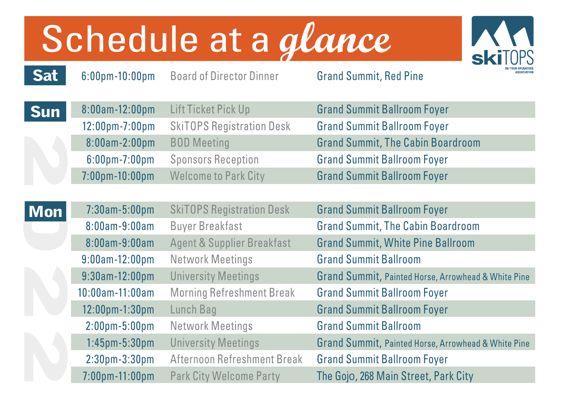## Schedule at a glance



6:00pm-10:00pm Board of Director Dinner Grand Summit, Red Pine

**Sat** 

| <b>Sun</b> | 8:00am-12:00pm                     | Lift Ticket Pick Up         | <b>Grand Summit Ballroom Foyer</b>       |
|------------|------------------------------------|-----------------------------|------------------------------------------|
|            | $12:00 \text{pm} - 7:00 \text{pm}$ | SkiTOPS Registration Desk   | <b>Grand Summit Ballroom Foyer</b>       |
|            | $8:00am-2:00pm$                    | <b>BOD Meeting</b>          | <b>Grand Summit, The Cabin Boardroom</b> |
|            | $6:00$ pm-7:00pm                   | <b>Sponsors Reception</b>   | <b>Grand Summit Ballroom Foyer</b>       |
|            | $7:00 \text{pm} - 10:00 \text{pm}$ | <b>Welcome to Park City</b> | <b>Grand Summit Ballroom Foyer</b>       |

|            | 8:00am-2:00pm                     | <b>BOD</b> Meeting                    | <b>Grand Summit, The Cabin Boardroom</b>            |
|------------|-----------------------------------|---------------------------------------|-----------------------------------------------------|
|            | $6:00$ pm $-7:00$ pm              | <b>Sponsors Reception</b>             | <b>Grand Summit Ballroom Foyer</b>                  |
|            | 7:00pm-10:00pm                    | <b>Welcome to Park City</b>           | <b>Grand Summit Ballroom Foyer</b>                  |
|            |                                   |                                       |                                                     |
| <b>Mon</b> | $7:30am - 5:00pm$                 | <b>SkiTOPS Registration Desk</b>      | <b>Grand Summit Ballroom Foyer</b>                  |
|            | $8:00$ am- $9:00$ am              | <b>Buyer Breakfast</b>                | <b>Grand Summit, The Cabin Boardroom</b>            |
|            | $8:00$ am- $9:00$ am              | <b>Agent &amp; Supplier Breakfast</b> | <b>Grand Summit, White Pine Ballroom</b>            |
|            | $9:00$ am-12:00pm                 | Network Meetings                      | <b>Grand Summit Ballroom</b>                        |
|            | $9:30$ am-12:00pm                 | <b>University Meetings</b>            | Grand Summit, Painted Horse, Arrowhead & White Pine |
|            | 10:00am-11:00am                   | <b>Morning Refreshment Break</b>      | <b>Grand Summit Ballroom Foyer</b>                  |
|            | 12:00pm-1:30pm                    | Lunch Bag                             | <b>Grand Summit Ballroom Foyer</b>                  |
|            | $2:00 \text{pm} - 5:00 \text{pm}$ | Network Meetings                      | <b>Grand Summit Ballroom</b>                        |
|            | $1:45$ pm $-5:30$ pm              | <b>University Meetings</b>            | Grand Summit, Painted Horse, Arrowhead & White Pine |
|            | $2:30pm-3:30pm$                   | Afternoon Refreshment Break           | <b>Grand Summit Ballroom Foyer</b>                  |
|            | $7:00$ pm $-11:00$ pm             | <b>Park City Welcome Party</b>        | The Gojo, 268 Main Street, Park City                |
|            |                                   |                                       |                                                     |